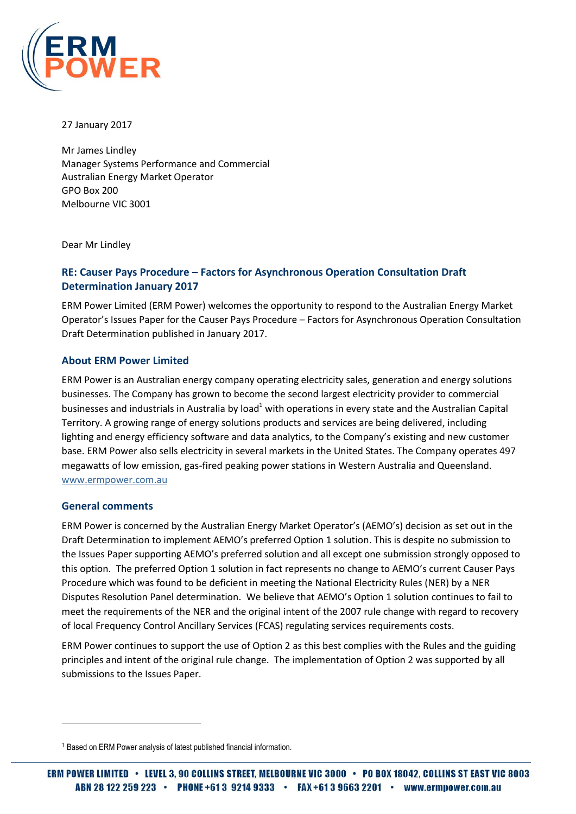

27 January 2017

Mr James Lindley Manager Systems Performance and Commercial Australian Energy Market Operator GPO Box 200 Melbourne VIC 3001

Dear Mr Lindley

# **RE: Causer Pays Procedure – Factors for Asynchronous Operation Consultation Draft Determination January 2017**

ERM Power Limited (ERM Power) welcomes the opportunity to respond to the Australian Energy Market Operator's Issues Paper for the Causer Pays Procedure – Factors for Asynchronous Operation Consultation Draft Determination published in January 2017.

#### **About ERM Power Limited**

ERM Power is an Australian energy company operating electricity sales, generation and energy solutions businesses. The Company has grown to become the second largest electricity provider to commercial businesses and industrials in Australia by load<sup>1</sup> with operations in every state and the Australian Capital Territory. A growing range of energy solutions products and services are being delivered, including lighting and energy efficiency software and data analytics, to the Company's existing and new customer base. ERM Power also sells electricity in several markets in the United States. The Company operates 497 megawatts of low emission, gas-fired peaking power stations in Western Australia and Queensland. [www.ermpower.com.au](http://www.ermpower.com.au/)

#### **General comments**

 $\overline{\phantom{a}}$ 

ERM Power is concerned by the Australian Energy Market Operator's (AEMO's) decision as set out in the Draft Determination to implement AEMO's preferred Option 1 solution. This is despite no submission to the Issues Paper supporting AEMO's preferred solution and all except one submission strongly opposed to this option. The preferred Option 1 solution in fact represents no change to AEMO's current Causer Pays Procedure which was found to be deficient in meeting the National Electricity Rules (NER) by a NER Disputes Resolution Panel determination. We believe that AEMO's Option 1 solution continues to fail to meet the requirements of the NER and the original intent of the 2007 rule change with regard to recovery of local Frequency Control Ancillary Services (FCAS) regulating services requirements costs.

ERM Power continues to support the use of Option 2 as this best complies with the Rules and the guiding principles and intent of the original rule change. The implementation of Option 2 was supported by all submissions to the Issues Paper.

<sup>1</sup> Based on ERM Power analysis of latest published financial information.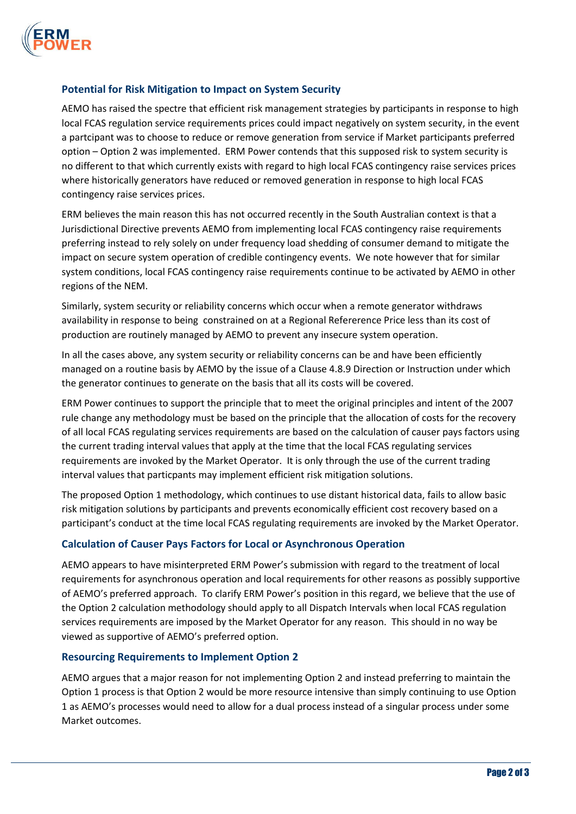

## **Potential for Risk Mitigation to Impact on System Security**

AEMO has raised the spectre that efficient risk management strategies by participants in response to high local FCAS regulation service requirements prices could impact negatively on system security, in the event a partcipant was to choose to reduce or remove generation from service if Market participants preferred option – Option 2 was implemented. ERM Power contends that this supposed risk to system security is no different to that which currently exists with regard to high local FCAS contingency raise services prices where historically generators have reduced or removed generation in response to high local FCAS contingency raise services prices.

ERM believes the main reason this has not occurred recently in the South Australian context is that a Jurisdictional Directive prevents AEMO from implementing local FCAS contingency raise requirements preferring instead to rely solely on under frequency load shedding of consumer demand to mitigate the impact on secure system operation of credible contingency events. We note however that for similar system conditions, local FCAS contingency raise requirements continue to be activated by AEMO in other regions of the NEM.

Similarly, system security or reliability concerns which occur when a remote generator withdraws availability in response to being constrained on at a Regional Refererence Price less than its cost of production are routinely managed by AEMO to prevent any insecure system operation.

In all the cases above, any system security or reliability concerns can be and have been efficiently managed on a routine basis by AEMO by the issue of a Clause 4.8.9 Direction or Instruction under which the generator continues to generate on the basis that all its costs will be covered.

ERM Power continues to support the principle that to meet the original principles and intent of the 2007 rule change any methodology must be based on the principle that the allocation of costs for the recovery of all local FCAS regulating services requirements are based on the calculation of causer pays factors using the current trading interval values that apply at the time that the local FCAS regulating services requirements are invoked by the Market Operator. It is only through the use of the current trading interval values that particpants may implement efficient risk mitigation solutions.

The proposed Option 1 methodology, which continues to use distant historical data, fails to allow basic risk mitigation solutions by participants and prevents economically efficient cost recovery based on a participant's conduct at the time local FCAS regulating requirements are invoked by the Market Operator.

## **Calculation of Causer Pays Factors for Local or Asynchronous Operation**

AEMO appears to have misinterpreted ERM Power's submission with regard to the treatment of local requirements for asynchronous operation and local requirements for other reasons as possibly supportive of AEMO's preferred approach. To clarify ERM Power's position in this regard, we believe that the use of the Option 2 calculation methodology should apply to all Dispatch Intervals when local FCAS regulation services requirements are imposed by the Market Operator for any reason. This should in no way be viewed as supportive of AEMO's preferred option.

#### **Resourcing Requirements to Implement Option 2**

AEMO argues that a major reason for not implementing Option 2 and instead preferring to maintain the Option 1 process is that Option 2 would be more resource intensive than simply continuing to use Option 1 as AEMO's processes would need to allow for a dual process instead of a singular process under some Market outcomes.